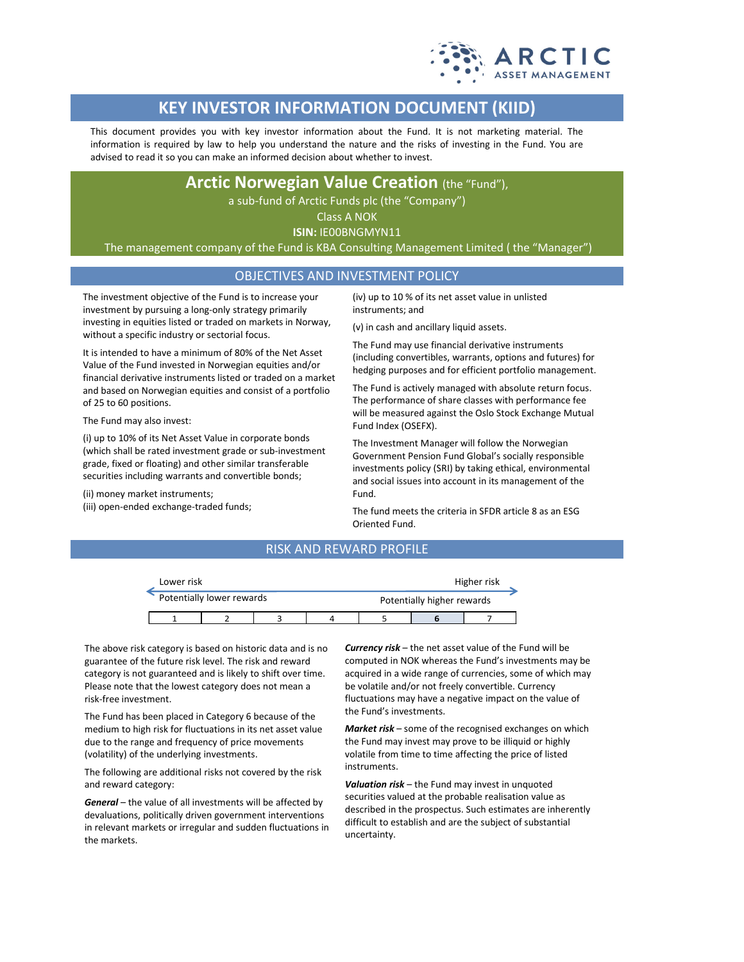

# **KEY INVESTOR INFORMATION DOCUMENT (KIID)**

This document provides you with key investor information about the Fund. It is not marketing material. The information is required by law to help you understand the nature and the risks of investing in the Fund. You are advised to read it so you can make an informed decision about whether to invest.

## **Arctic Norwegian Value Creation** (the "Fund"),

a sub-fund of Arctic Funds plc (the "Company")

Class A NOK

**ISIN:** IE00BNGMYN11

The management company of the Fund is KBA Consulting Management Limited ( the "Manager")

## OBJECTIVES AND INVESTMENT POLICY

The investment objective of the Fund is to increase your investment by pursuing a long-only strategy primarily investing in equities listed or traded on markets in Norway, without a specific industry or sectorial focus.

It is intended to have a minimum of 80% of the Net Asset Value of the Fund invested in Norwegian equities and/or financial derivative instruments listed or traded on a market and based on Norwegian equities and consist of a portfolio of 25 to 60 positions.

The Fund may also invest:

(i) up to 10% of its Net Asset Value in corporate bonds (which shall be rated investment grade or sub-investment grade, fixed or floating) and other similar transferable securities including warrants and convertible bonds;

(ii) money market instruments;

(iii) open-ended exchange-traded funds;

(iv) up to 10 % of its net asset value in unlisted instruments; and

(v) in cash and ancillary liquid assets.

The Fund may use financial derivative instruments (including convertibles, warrants, options and futures) for hedging purposes and for efficient portfolio management.

The Fund is actively managed with absolute return focus. The performance of share classes with performance fee will be measured against the Oslo Stock Exchange Mutual Fund Index (OSEFX).

The Investment Manager will follow the Norwegian Government Pension Fund Global's socially responsible investments policy (SRI) by taking ethical, environmental and social issues into account in its management of the Fund.

The fund meets the criteria in SFDR article 8 as an ESG Oriented Fund.

## RISK AND REWARD PROFILE

| Lower risk                |  |  |  |                            | Higher risk |  |  |
|---------------------------|--|--|--|----------------------------|-------------|--|--|
| Potentially lower rewards |  |  |  | Potentially higher rewards |             |  |  |
|                           |  |  |  |                            |             |  |  |

The above risk category is based on historic data and is no guarantee of the future risk level. The risk and reward category is not guaranteed and is likely to shift over time. Please note that the lowest category does not mean a risk-free investment.

The Fund has been placed in Category 6 because of the medium to high risk for fluctuations in its net asset value due to the range and frequency of price movements (volatility) of the underlying investments.

The following are additional risks not covered by the risk and reward category:

*General* – the value of all investments will be affected by devaluations, politically driven government interventions in relevant markets or irregular and sudden fluctuations in the markets.

*Currency risk* – the net asset value of the Fund will be computed in NOK whereas the Fund's investments may be acquired in a wide range of currencies, some of which may be volatile and/or not freely convertible. Currency fluctuations may have a negative impact on the value of the Fund's investments.

*Market risk* – some of the recognised exchanges on which the Fund may invest may prove to be illiquid or highly volatile from time to time affecting the price of listed instruments.

*Valuation risk* – the Fund may invest in unquoted securities valued at the probable realisation value as described in the prospectus. Such estimates are inherently difficult to establish and are the subject of substantial uncertainty.